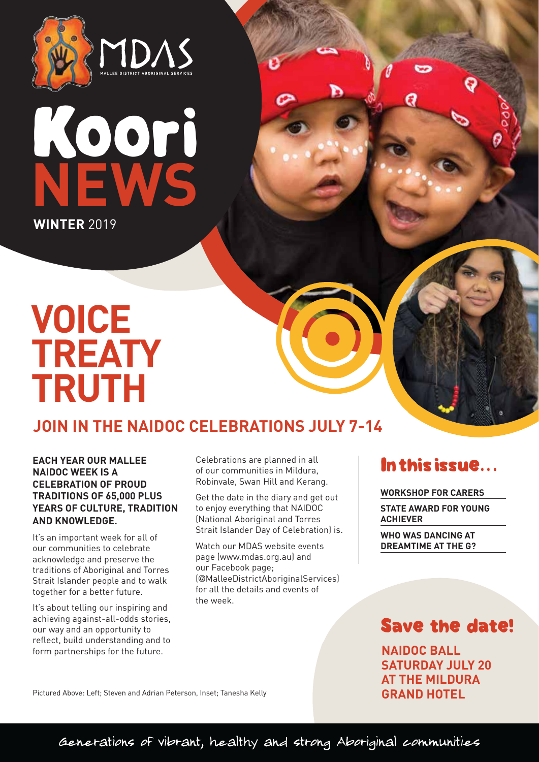



# **VOICE TREATY TRUTH**

# **JOIN IN THE NAIDOC CELEBRATIONS JULY 7-14**

## **EACH YEAR OUR MALLEE NAIDOC WEEK IS A CELEBRATION OF PROUD TRADITIONS OF 65,000 PLUS YEARS OF CULTURE, TRADITION AND KNOWLEDGE.**

It's an important week for all of our communities to celebrate acknowledge and preserve the traditions of Aboriginal and Torres Strait Islander people and to walk together for a better future.

It's about telling our inspiring and achieving against-all-odds stories, our way and an opportunity to reflect, build understanding and to form partnerships for the future.

Celebrations are planned in all of our communities in Mildura, Robinvale, Swan Hill and Kerang.

v

Get the date in the diary and get out to enjoy everything that NAIDOC (National Aboriginal and Torres Strait Islander Day of Celebration) is.

Watch our MDAS website events page (www.mdas.org.au) and our Facebook page; (@MalleeDistrictAboriginalServices) for all the details and events of the week.

# In this issue...

**WORKSHOP FOR CARERS STATE AWARD FOR YOUNG ACHIEVER**

**WHO WAS DANCING AT DREAMTIME AT THE G?**

# Save the date!

**NAIDOC BALL SATURDAY JULY 20 AT THE MILDURA GRAND HOTEL**

Pictured Above: Left; Steven and Adrian Peterson, Inset; Tanesha Kelly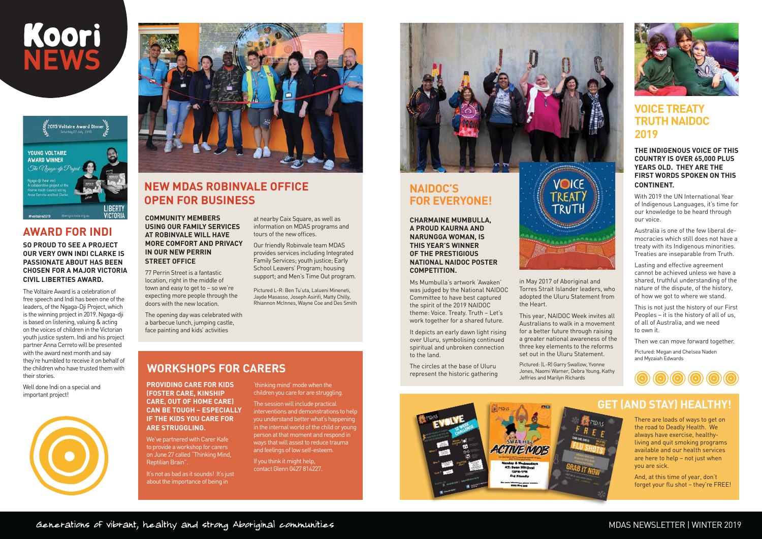# **AWARD FOR INDI**

**SO PROUD TO SEE A PROJECT OUR VERY OWN INDI CLARKE IS PASSIONATE ABOUT HAS BEEN CHOSEN FOR A MAJOR VICTORIA CIVIL LIBERTIES AWARD.** 

The Voltaire Award is a celebration of free speech and Indi has been one of the leaders, of the Ngaga-Dji Project, which is the winning project in 2019. Ngaga-dji is based on listening, valuing & acting on the voices of children in the Victorian youth justice system. Indi and his project partner Anna Cerreto will be presented with the award next month and say they're humbled to receive it on behalf of the children who have trusted them with their stories.

Well done Indi on a special and important project!





It's not as bad as it sounds! It's just about the importance of being in

**COMMUNITY MEMBERS USING OUR FAMILY SERVICES AT ROBINVALE WILL HAVE MORE COMFORT AND PRIVACY IN OUR NEW PERRIN STREET OFFICE** 

77 Perrin Street is a fantastic location, right in the middle of town and easy to get to – so we're expecting more people through the doors with the new location.

The opening day was celebrated with a barbecue lunch, jumping castle, face painting and kids' activities

**PROVIDING CARE FOR KIDS (FOSTER CARE, KINSHIP CARE, OUT OF HOME CARE) CAN BE TOUGH – ESPECIALLY IF THE KIDS YOU CARE FOR ARE STRUGGLING.**

We've partnered with Carer Kafe to provide a workshop for carers on June 27 called "Thinking Mind, Reptilian Brain".

'thinking mind' mode when the children you care for are struggling.

The session will include practical interventions and demonstrations to help you understand better what's happening in the internal world of the child or young person at that moment and respond in ways that will assist to reduce trauma and feelings of low self-esteem.

If you think it might help, contact Glenn 0427 814227.



**CHARMAINE MUMBULLA, A PROUD KAURNA AND NARUNGGA WOMAN, IS THIS YEAR'S WINNER OF THE PRESTIGIOUS NATIONAL NAIDOC POSTER COMPETITION.**

Ms Mumbulla's artwork 'Awaken' was judged by the National NAIDOC Committee to have best captured the spirit of the 2019 NAIDOC theme: Voice. Treaty. Truth – Let's work together for a shared future.

It depicts an early dawn light rising over Uluru, symbolising continued spiritual and unbroken connection to the land.

The circles at the base of Uluru represent the historic gathering in May 2017 of Aboriginal and Torres Strait Islander leaders, who adopted the Uluru Statement from the Heart.

This year, NAIDOC Week invites all Australians to walk in a movement for a better future through raising a greater national awareness of the three key elements to the reforms set out in the Uluru Statement.

Pictured: (L-R) Garry Swallow, Yvonne Jones, Naomi Warner, Debra Young, Kathy Jeffries and Marilyn Richards







There are loads of ways to get on the road to Deadly Health. We always have exercise, healthyliving and quit smoking programs available and our health services are here to help – not just when you are sick.

And, at this time of year, don't forget your flu shot – they're FREE!

## MDAS NEWSLETTER | WINTER 2019

at nearby Caix Square, as well as information on MDAS programs and tours of the new offices.

Our friendly Robinvale team MDAS provides services including Integrated Family Services; youth justice; Early School Leavers' Program; housing support; and Men's Time Out program.

Pictured L-R: Ben Tu'uta, Lalueni Mineneti, Jayde Masasso, Joseph Asirifi, Matty Chilly, Rhiannon McInnes, Wayne Coe and Des Smith

# **NEW MDAS ROBINVALE OFFICE OPEN FOR BUSINESS**





# **NAIDOC'S FOR EVERYONE!**

## **THE INDIGENOUS VOICE OF THIS COUNTRY IS OVER 65,000 PLUS YEARS OLD. THEY ARE THE FIRST WORDS SPOKEN ON THIS CONTINENT.**

With 2019 the UN International Year of Indigenous Languages, it's time for our knowledge to be heard through our voice.

Australia is one of the few liberal democracies which still does not have a treaty with its Indigenous minorities. Treaties are inseparable from Truth.

Lasting and effective agreement cannot be achieved unless we have a shared, truthful understanding of the nature of the dispute, of the history, of how we got to where we stand.

This is not just the history of our First Peoples – it is the history of all of us, of all of Australia, and we need to own it.

Then we can move forward together.

Pictured: Megan and Chelsea Naden and Myzaiah Edwards



## **VOICE TREATY TRUTH NAIDOC 2019**

# **WORKSHOPS FOR CARERS**

# **GET (AND STAY) HEALTHY!**